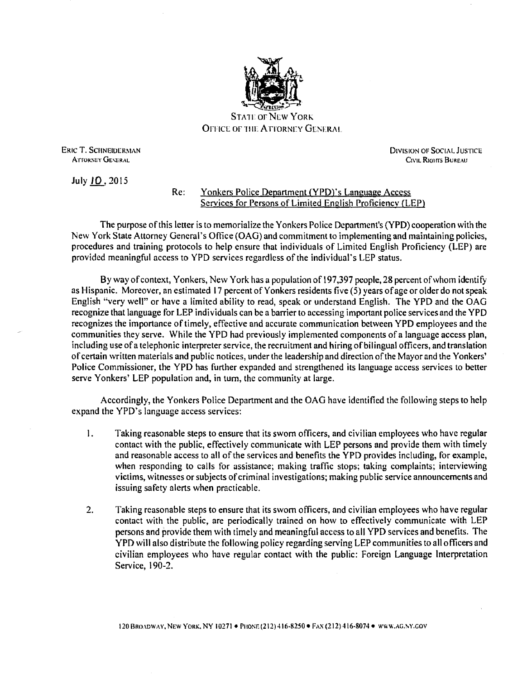

**STATE OF NEW YORK** OFFICE OF THE ATTORNEY GENERAL

ERIC T. SCHNEIDERMAN ATTORNEY GENERAL

DIVISION OF SOCIAL JUSTICE Ctvil Riohts Bureau

July 10,2015

## Re: Yonkers Police Department (YPD)'s Language Access Services for Persons of Limited English Proficiency (LEP)

The purpose of this letter is to memorialize the Yonkers Police Department's (YPD) cooperation with the New York State Attorney General's Office (OAG) and commitment to implementing and maintaining policies, procedures and training protocols to help ensure that individuals of Limited English Proficiency (LEP) are provided meaningful access to YPD services regardless of the individual's LEP status.

By way of context, Yonkers, New York has a population of 197,397 people, 28 percent ofwhom identify as Hispanic. Moreover, an estimated 17 percent of Yonkers residents five (5) years of age or older do not speak English "very well" or have a limited ability to read, speak or understand English. The YPD and the OAG recognize that language for LEP individuals can be a barrier to accessing important police services and the YPD recognizes the importance of timely, effective and accurate communication between YPD employees and the communities they serve. While the YPD had previously implemented components of a language access plan, including use of a telephonic interpreter service, the recruitment and hiring ofbilingual officers, and translation of certain written materials and public notices, under the leadership and direction of the Mayor and the Yonkers' Police Commissioner, the YPD has further expanded and strengthened its language access services to better serve Yonkers' LEP population and, in tum, the community at large.

Accordingly, the Yonkers Police Department and the OAG have identified the following steps to help expand the YPD's language access services:

- I. Taking reasonable steps to ensure that its swam officers, and civilian employees who have regular contact with the public, effectively communicate with LEP persons and provide them with timely and reasonable access to all of the services and benefits the YPD provides including, for example, when responding to calls for assistance; making traffic stops; taking complaints; interviewing victims, witnesses or subjects of criminal investigations; making public service announcements and issuing safety alerts when practicable.
- 2. Taking reasonable steps to ensure that its sworn officers, and civilian employees who have regular contact with the public, are periodically trained on how to effectively communicate with LEP persons and provide them with timely and meaningful access to all YPD services and benefits. The YPD will also distribute the following policy regarding serving LEP communities to all officers and civilian employees who have regular contact with the public: Foreign Language Interpretation Service, 190-2.